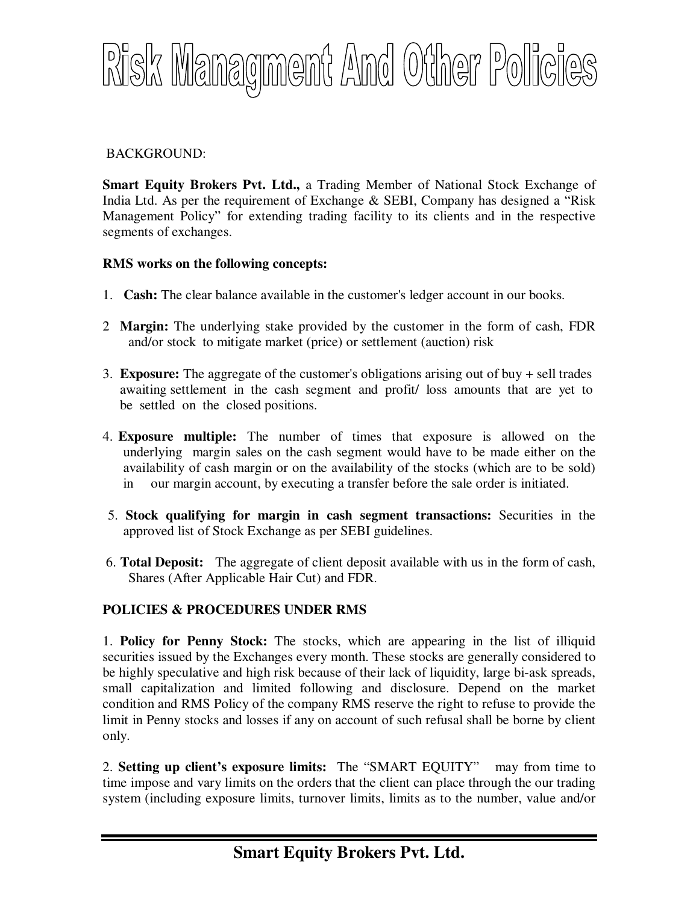

## BACKGROUND:

**Smart Equity Brokers Pvt. Ltd.,** a Trading Member of National Stock Exchange of India Ltd. As per the requirement of Exchange & SEBI, Company has designed a "Risk Management Policy" for extending trading facility to its clients and in the respective segments of exchanges.

## **RMS works on the following concepts:**

- 1. **Cash:** The clear balance available in the customer's ledger account in our books.
- 2 **Margin:** The underlying stake provided by the customer in the form of cash, FDR and/or stock to mitigate market (price) or settlement (auction) risk
- 3. **Exposure:** The aggregate of the customer's obligations arising out of buy + sell trades awaiting settlement in the cash segment and profit/ loss amounts that are yet to be settled on the closed positions.
- 4. **Exposure multiple:** The number of times that exposure is allowed on the underlying margin sales on the cash segment would have to be made either on the availability of cash margin or on the availability of the stocks (which are to be sold) in our margin account, by executing a transfer before the sale order is initiated.
- 5. **Stock qualifying for margin in cash segment transactions:** Securities in the approved list of Stock Exchange as per SEBI guidelines.
- 6. **Total Deposit:** The aggregate of client deposit available with us in the form of cash, Shares (After Applicable Hair Cut) and FDR.

## **POLICIES & PROCEDURES UNDER RMS**

1. **Policy for Penny Stock:** The stocks, which are appearing in the list of illiquid securities issued by the Exchanges every month. These stocks are generally considered to be highly speculative and high risk because of their lack of liquidity, large bi-ask spreads, small capitalization and limited following and disclosure. Depend on the market condition and RMS Policy of the company RMS reserve the right to refuse to provide the limit in Penny stocks and losses if any on account of such refusal shall be borne by client only.

2. **Setting up client's exposure limits:** The "SMART EQUITY" may from time to time impose and vary limits on the orders that the client can place through the our trading system (including exposure limits, turnover limits, limits as to the number, value and/or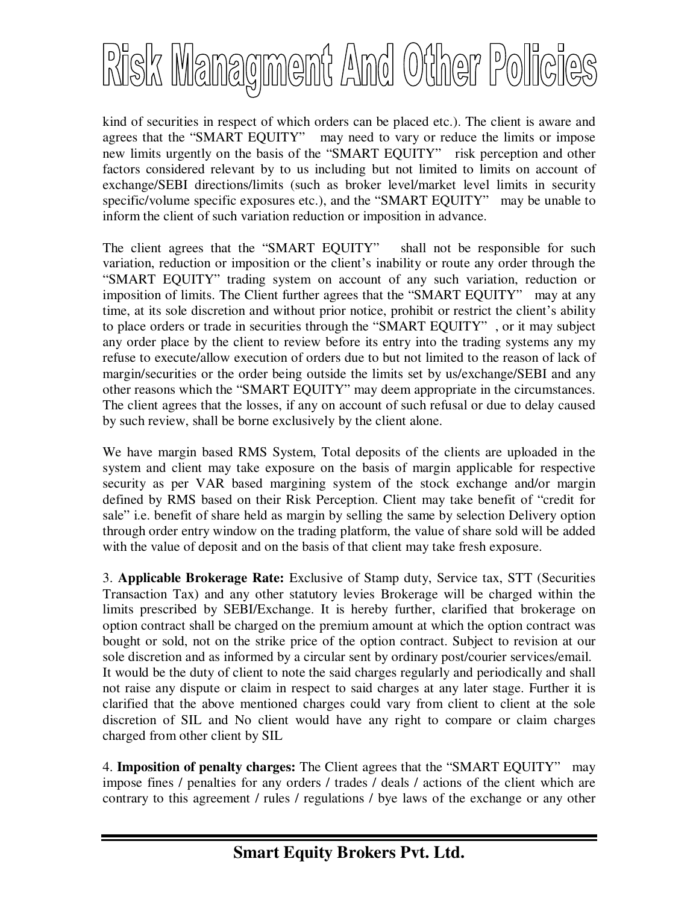

kind of securities in respect of which orders can be placed etc.). The client is aware and agrees that the "SMART EQUITY" may need to vary or reduce the limits or impose new limits urgently on the basis of the "SMART EQUITY" risk perception and other factors considered relevant by to us including but not limited to limits on account of exchange/SEBI directions/limits (such as broker level/market level limits in security specific/volume specific exposures etc.), and the "SMART EQUITY" may be unable to inform the client of such variation reduction or imposition in advance.

The client agrees that the "SMART EQUITY" shall not be responsible for such variation, reduction or imposition or the client's inability or route any order through the "SMART EQUITY" trading system on account of any such variation, reduction or imposition of limits. The Client further agrees that the "SMART EQUITY" may at any time, at its sole discretion and without prior notice, prohibit or restrict the client's ability to place orders or trade in securities through the "SMART EQUITY" , or it may subject any order place by the client to review before its entry into the trading systems any my refuse to execute/allow execution of orders due to but not limited to the reason of lack of margin/securities or the order being outside the limits set by us/exchange/SEBI and any other reasons which the "SMART EQUITY" may deem appropriate in the circumstances. The client agrees that the losses, if any on account of such refusal or due to delay caused by such review, shall be borne exclusively by the client alone.

We have margin based RMS System, Total deposits of the clients are uploaded in the system and client may take exposure on the basis of margin applicable for respective security as per VAR based margining system of the stock exchange and/or margin defined by RMS based on their Risk Perception. Client may take benefit of "credit for sale" i.e. benefit of share held as margin by selling the same by selection Delivery option through order entry window on the trading platform, the value of share sold will be added with the value of deposit and on the basis of that client may take fresh exposure.

3. **Applicable Brokerage Rate:** Exclusive of Stamp duty, Service tax, STT (Securities Transaction Tax) and any other statutory levies Brokerage will be charged within the limits prescribed by SEBI/Exchange. It is hereby further, clarified that brokerage on option contract shall be charged on the premium amount at which the option contract was bought or sold, not on the strike price of the option contract. Subject to revision at our sole discretion and as informed by a circular sent by ordinary post/courier services/email. It would be the duty of client to note the said charges regularly and periodically and shall not raise any dispute or claim in respect to said charges at any later stage. Further it is clarified that the above mentioned charges could vary from client to client at the sole discretion of SIL and No client would have any right to compare or claim charges charged from other client by SIL

4. **Imposition of penalty charges:** The Client agrees that the "SMART EQUITY" may impose fines / penalties for any orders / trades / deals / actions of the client which are contrary to this agreement / rules / regulations / bye laws of the exchange or any other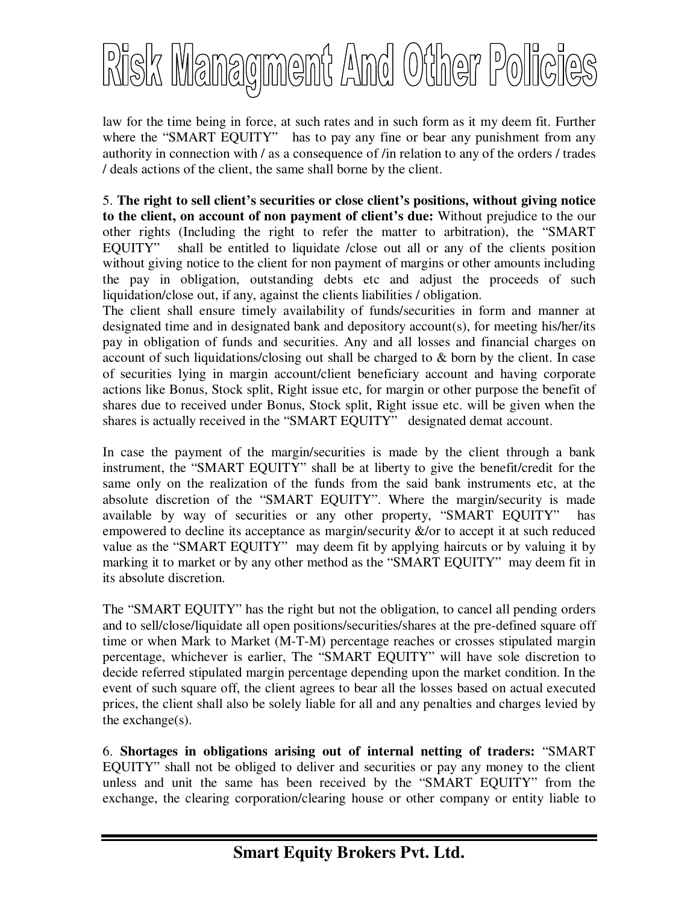

law for the time being in force, at such rates and in such form as it my deem fit. Further where the "SMART EQUITY" has to pay any fine or bear any punishment from any authority in connection with / as a consequence of /in relation to any of the orders / trades / deals actions of the client, the same shall borne by the client.

5. **The right to sell client's securities or close client's positions, without giving notice to the client, on account of non payment of client's due:** Without prejudice to the our other rights (Including the right to refer the matter to arbitration), the "SMART EQUITY" shall be entitled to liquidate /close out all or any of the clients position without giving notice to the client for non payment of margins or other amounts including the pay in obligation, outstanding debts etc and adjust the proceeds of such liquidation/close out, if any, against the clients liabilities / obligation.

The client shall ensure timely availability of funds/securities in form and manner at designated time and in designated bank and depository account(s), for meeting his/her/its pay in obligation of funds and securities. Any and all losses and financial charges on account of such liquidations/closing out shall be charged to & born by the client. In case of securities lying in margin account/client beneficiary account and having corporate actions like Bonus, Stock split, Right issue etc, for margin or other purpose the benefit of shares due to received under Bonus, Stock split, Right issue etc. will be given when the shares is actually received in the "SMART EQUITY" designated demat account.

In case the payment of the margin/securities is made by the client through a bank instrument, the "SMART EQUITY" shall be at liberty to give the benefit/credit for the same only on the realization of the funds from the said bank instruments etc, at the absolute discretion of the "SMART EQUITY". Where the margin/security is made available by way of securities or any other property, "SMART EQUITY" has empowered to decline its acceptance as margin/security  $\&$ /or to accept it at such reduced value as the "SMART EQUITY" may deem fit by applying haircuts or by valuing it by marking it to market or by any other method as the "SMART EQUITY" may deem fit in its absolute discretion.

The "SMART EQUITY" has the right but not the obligation, to cancel all pending orders and to sell/close/liquidate all open positions/securities/shares at the pre-defined square off time or when Mark to Market (M-T-M) percentage reaches or crosses stipulated margin percentage, whichever is earlier, The "SMART EQUITY" will have sole discretion to decide referred stipulated margin percentage depending upon the market condition. In the event of such square off, the client agrees to bear all the losses based on actual executed prices, the client shall also be solely liable for all and any penalties and charges levied by the exchange $(s)$ .

6. **Shortages in obligations arising out of internal netting of traders:** "SMART EQUITY" shall not be obliged to deliver and securities or pay any money to the client unless and unit the same has been received by the "SMART EQUITY" from the exchange, the clearing corporation/clearing house or other company or entity liable to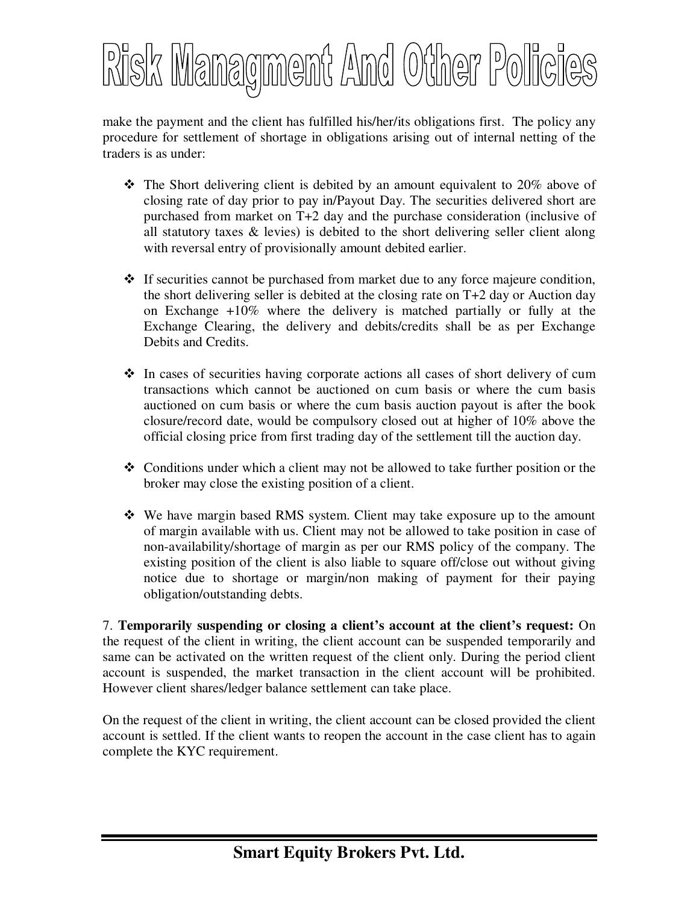

make the payment and the client has fulfilled his/her/its obligations first. The policy any procedure for settlement of shortage in obligations arising out of internal netting of the traders is as under:

- $\hat{\mathbf{v}}$  The Short delivering client is debited by an amount equivalent to 20% above of closing rate of day prior to pay in/Payout Day. The securities delivered short are purchased from market on T+2 day and the purchase consideration (inclusive of all statutory taxes & levies) is debited to the short delivering seller client along with reversal entry of provisionally amount debited earlier.
- $\div$  If securities cannot be purchased from market due to any force majeure condition, the short delivering seller is debited at the closing rate on T+2 day or Auction day on Exchange +10% where the delivery is matched partially or fully at the Exchange Clearing, the delivery and debits/credits shall be as per Exchange Debits and Credits.
- $\div$  In cases of securities having corporate actions all cases of short delivery of cum transactions which cannot be auctioned on cum basis or where the cum basis auctioned on cum basis or where the cum basis auction payout is after the book closure/record date, would be compulsory closed out at higher of 10% above the official closing price from first trading day of the settlement till the auction day.
- $\triangleleft$  Conditions under which a client may not be allowed to take further position or the broker may close the existing position of a client.
- $\div$  We have margin based RMS system. Client may take exposure up to the amount of margin available with us. Client may not be allowed to take position in case of non-availability/shortage of margin as per our RMS policy of the company. The existing position of the client is also liable to square off/close out without giving notice due to shortage or margin/non making of payment for their paying obligation/outstanding debts.

7. **Temporarily suspending or closing a client's account at the client's request:** On the request of the client in writing, the client account can be suspended temporarily and same can be activated on the written request of the client only. During the period client account is suspended, the market transaction in the client account will be prohibited. However client shares/ledger balance settlement can take place.

On the request of the client in writing, the client account can be closed provided the client account is settled. If the client wants to reopen the account in the case client has to again complete the KYC requirement.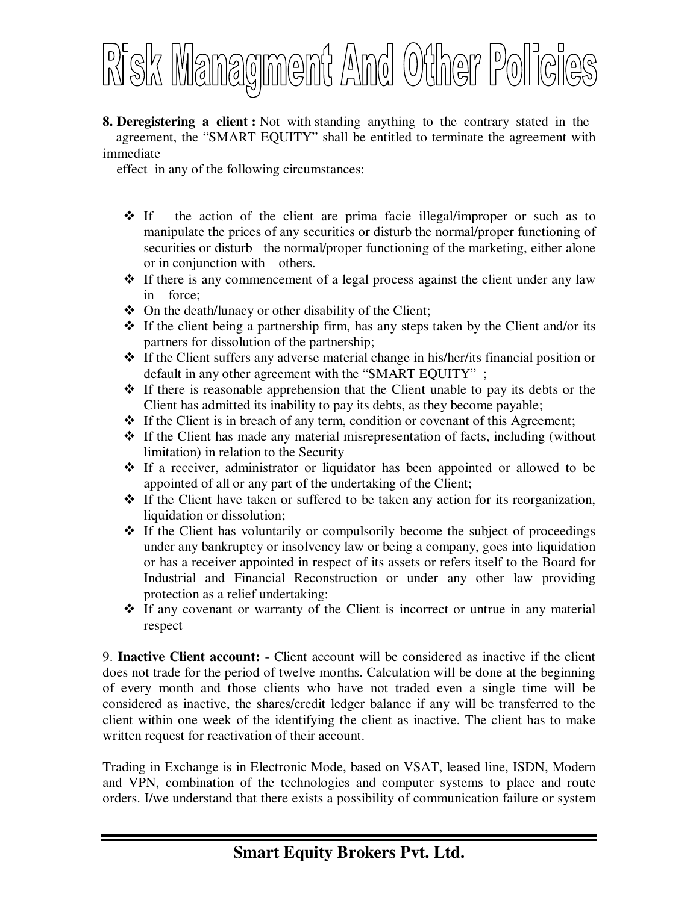

**8. Deregistering a client :** Not with standing anything to the contrary stated in the agreement, the "SMART EQUITY" shall be entitled to terminate the agreement with immediate

effect in any of the following circumstances:

- $\div$  If the action of the client are prima facie illegal/improper or such as to manipulate the prices of any securities or disturb the normal/proper functioning of securities or disturb the normal/proper functioning of the marketing, either alone or in conjunction with others.
- $\cdot \cdot$  If there is any commencement of a legal process against the client under any law in force;
- $\triangle$  On the death/lunacy or other disability of the Client;
- $\hat{\cdot}$  If the client being a partnership firm, has any steps taken by the Client and/or its partners for dissolution of the partnership;
- $\cdot \cdot$  If the Client suffers any adverse material change in his/her/its financial position or default in any other agreement with the "SMART EQUITY" ;
- $\hat{\mathbf{v}}$  If there is reasonable apprehension that the Client unable to pay its debts or the Client has admitted its inability to pay its debts, as they become payable;
- $\cdot \cdot$  If the Client is in breach of any term, condition or covenant of this Agreement;
- $\div$  If the Client has made any material misrepresentation of facts, including (without limitation) in relation to the Security
- If a receiver, administrator or liquidator has been appointed or allowed to be appointed of all or any part of the undertaking of the Client;
- $\cdot \cdot$  If the Client have taken or suffered to be taken any action for its reorganization, liquidation or dissolution;
- $\cdot \cdot$  If the Client has voluntarily or compulsorily become the subject of proceedings under any bankruptcy or insolvency law or being a company, goes into liquidation or has a receiver appointed in respect of its assets or refers itself to the Board for Industrial and Financial Reconstruction or under any other law providing protection as a relief undertaking:
- If any covenant or warranty of the Client is incorrect or untrue in any material respect

9. **Inactive Client account:** - Client account will be considered as inactive if the client does not trade for the period of twelve months. Calculation will be done at the beginning of every month and those clients who have not traded even a single time will be considered as inactive, the shares/credit ledger balance if any will be transferred to the client within one week of the identifying the client as inactive. The client has to make written request for reactivation of their account.

Trading in Exchange is in Electronic Mode, based on VSAT, leased line, ISDN, Modern and VPN, combination of the technologies and computer systems to place and route orders. I/we understand that there exists a possibility of communication failure or system